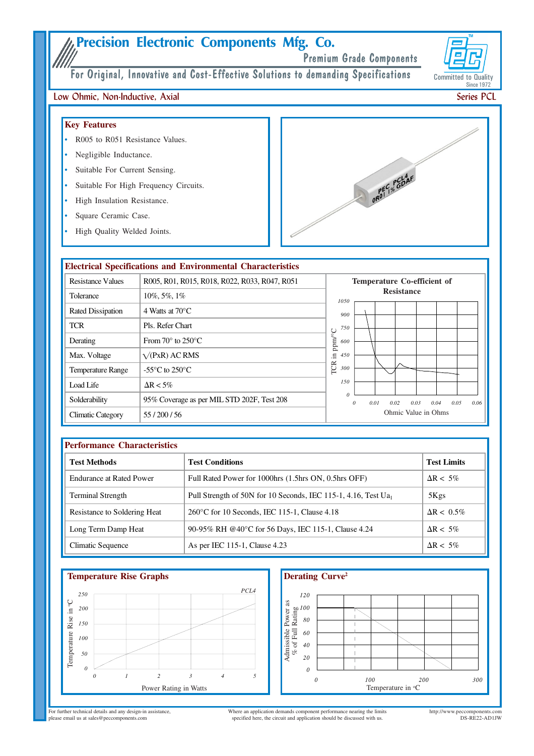# Precision Electronic Components Mfg. Co.

Premium Grade Components

Committed to Quality **Since 1972** 

For Original, Innovative and Cost-Effective Solutions to demanding Specifications

## Low Ohmic, Non-Inductive, Axial

## **Key Features**

- R005 to R051 Resistance Values.
- Negligible Inductance.
- Suitable For Current Sensing.
- Suitable For High Frequency Circuits.
- High Insulation Resistance.
- Square Ceramic Case.
- High Quality Welded Joints.



|                          | <b>Electrical Specifications and Environmental Characteristics</b> |                                                                      |  |  |  |
|--------------------------|--------------------------------------------------------------------|----------------------------------------------------------------------|--|--|--|
| <b>Resistance Values</b> | R005, R01, R015, R018, R022, R033, R047, R051                      | Temperature Co-efficient of                                          |  |  |  |
| Tolerance                | $10\%, 5\%, 1\%$                                                   | <b>Resistance</b><br>1050                                            |  |  |  |
| <b>Rated Dissipation</b> | 4 Watts at $70^{\circ}$ C                                          | 900                                                                  |  |  |  |
| <b>TCR</b>               | Pls. Refer Chart                                                   | 750                                                                  |  |  |  |
| Derating                 | From $70^{\circ}$ to $250^{\circ}$ C.                              | ppm/°C<br>600                                                        |  |  |  |
| Max. Voltage             | $\sqrt{P}$ <sub>X</sub> R) AC RMS                                  | E.<br>450                                                            |  |  |  |
| <b>Temperature Range</b> | -55 $\mathrm{^{\circ}C}$ to 250 $\mathrm{^{\circ}C}$               | TCR<br>300                                                           |  |  |  |
| Load Life                | $\Delta R < 5\%$                                                   | 150                                                                  |  |  |  |
| Solderability            | 95% Coverage as per MIL STD 202F, Test 208                         | $\theta$<br>0.05<br>0.01<br>$\theta$<br>0.02<br>0.03<br>0.04<br>0.06 |  |  |  |
| Climatic Category        | 55/200/56                                                          | Ohmic Value in Ohms                                                  |  |  |  |

| <b>Performance Characteristics</b> |                                                                   |                    |  |  |  |  |
|------------------------------------|-------------------------------------------------------------------|--------------------|--|--|--|--|
| <b>Test Methods</b>                | <b>Test Conditions</b>                                            | <b>Test Limits</b> |  |  |  |  |
| <b>Endurance at Rated Power</b>    | Full Rated Power for 1000hrs (1.5hrs ON, 0.5hrs OFF)              | $\Delta R < 5\%$   |  |  |  |  |
| <b>Terminal Strength</b>           | Pull Strength of 50N for 10 Seconds, IEC 115-1, 4.16, Test $Ua_1$ | 5Kgs               |  |  |  |  |
| Resistance to Soldering Heat       | $260^{\circ}$ C for 10 Seconds, IEC 115-1, Clause 4.18            | $\Delta R < 0.5\%$ |  |  |  |  |
| Long Term Damp Heat                | 90-95% RH @40°C for 56 Days, IEC 115-1, Clause 4.24               | $\Delta R < 5\%$   |  |  |  |  |
| Climatic Sequence                  | As per IEC 115-1, Clause 4.23                                     | $\Delta R < 5\%$   |  |  |  |  |







For further technical details and any design-in assistance,<br>please email us at sales@peccomponents.com

Where an application demands component performance nearing the limits specified here, the circuit and application should be discussed with us.